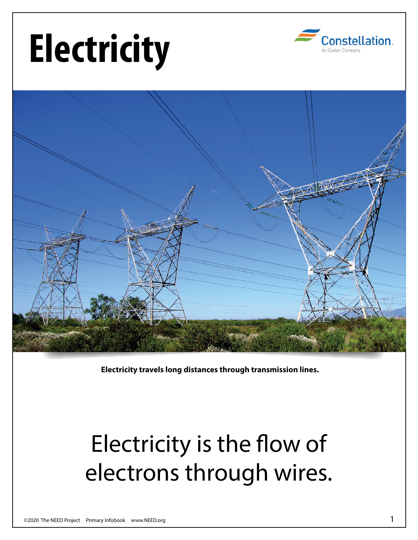## **Electricity**





**Electricity travels long distances through transmission lines.**

## Electricity is the flow of electrons through wires.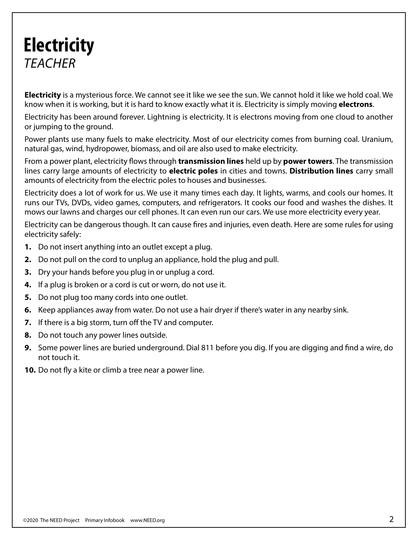## **Electricity** *TEACHER*

**Electricity** is a mysterious force. We cannot see it like we see the sun. We cannot hold it like we hold coal. We know when it is working, but it is hard to know exactly what it is. Electricity is simply moving **electrons**.

Electricity has been around forever. Lightning is electricity. It is electrons moving from one cloud to another or jumping to the ground.

Power plants use many fuels to make electricity. Most of our electricity comes from burning coal. Uranium, natural gas, wind, hydropower, biomass, and oil are also used to make electricity.

From a power plant, electricity flows through **transmission lines** held up by **power towers**. The transmission lines carry large amounts of electricity to **electric poles** in cities and towns. **Distribution lines** carry small amounts of electricity from the electric poles to houses and businesses.

Electricity does a lot of work for us. We use it many times each day. It lights, warms, and cools our homes. It runs our TVs, DVDs, video games, computers, and refrigerators. It cooks our food and washes the dishes. It mows our lawns and charges our cell phones. It can even run our cars. We use more electricity every year.

Electricity can be dangerous though. It can cause fires and injuries, even death. Here are some rules for using electricity safely:

- **1.** Do not insert anything into an outlet except a plug.
- **2.** Do not pull on the cord to unplug an appliance, hold the plug and pull.
- **3.** Dry your hands before you plug in or unplug a cord.
- **4.** If a plug is broken or a cord is cut or worn, do not use it.
- **5.** Do not plug too many cords into one outlet.
- **6.** Keep appliances away from water. Do not use a hair dryer if there's water in any nearby sink.
- **7.** If there is a big storm, turn off the TV and computer.
- **8.** Do not touch any power lines outside.
- **9.** Some power lines are buried underground. Dial 811 before you dig. If you are digging and find a wire, do not touch it.
- **10.** Do not fly a kite or climb a tree near a power line.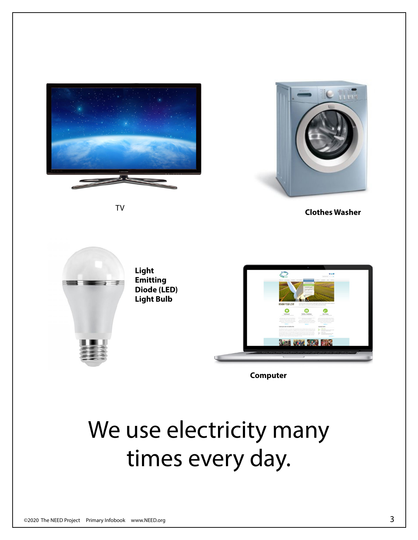

TV



**Clothes Washer**



**Computer**

## We use electricity many times every day.